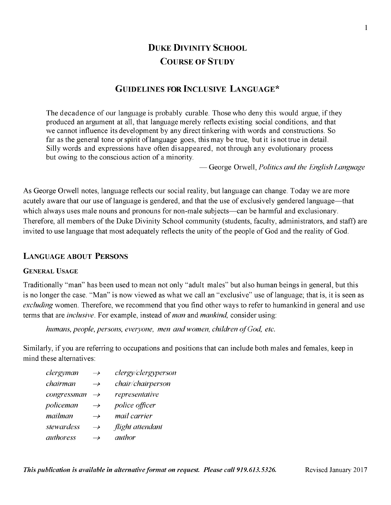# **DUKE DIVINITY SCHOOL COURSE OF STUDY**

# **GUIDELINES FOR INCLUSIVE LANGUAGE\***

The decadence of our language is probably curable. Those who deny this would argue, if they produced an argument at all, that language merely reflects existing social conditions, and that we cannot influence its development by any direct tinkering with words and constructions. So far as the general tone or spirit of language goes, this may be true, but it is not true in detail. Silly words and expressions have often disappeared, not through any evolutionary process but owing to the conscious action of a minority.

— George Orwell, *Politics and the English Language*

As George Orwell notes, language reflects our social reality, but language can change. Today we are more acutely aware that our use of language is gendered, and that the use of exclusively gendered language—that which always uses male nouns and pronouns for non-male subjects—can be harmful and exclusionary. Therefore, all members of the Duke Divinity School community (students, faculty, administrators, and staff) are invited to use language that most adequately reflects the unity of the people of God and the reality of God.

# **LANGUAGE ABOUT PERSONS**

### **GENERAL USAGE**

Traditionally "man" has been used to mean not only "adult males" but also human beings in general, but this is no longer the case. "Man" is now viewed as what we call an "exclusive" use of language; that is, it is seen as *excluding* women. Therefore, we recommend that you find other ways to refer to humankind in general and use terms that are *inclusive.* For example, instead of *man* and *mankind,* consider using:

*humans, people, persons, everyone, men and women, children of God, etc.* 

Similarly, if you are referring to occupations and positions that can include both males and females, keep in mind these alternatives:

| clergyman        | $\rightarrow$ | clergy/clergyperson |
|------------------|---------------|---------------------|
| chairman         | $\rightarrow$ | chair/chairperson   |
| congressman      | $\rightarrow$ | representative      |
| policeman        | $\rightarrow$ | police officer      |
| mailman          | $\rightarrow$ | mail carrier        |
| stewardess       | $\rightarrow$ | flight attendant    |
| <i>authoress</i> | $\rightarrow$ | <i>author</i>       |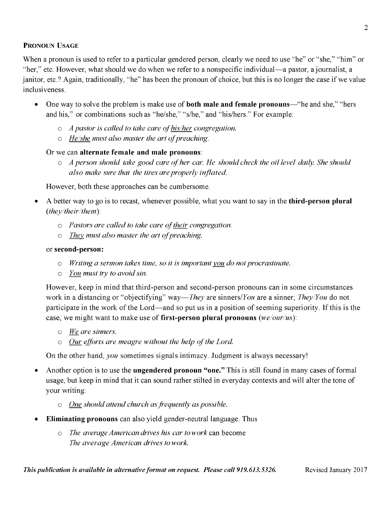## **PRONOUN USAGE**

When a pronoun is used to refer to a particular gendered person, clearly we need to use "he" or "she," "him" or "her," etc. However, what should we do when we refer to a nonspecific individual—a pastor, a journalist, a janitor, etc.? Again, traditionally, "he" has been the pronoun of choice, but this is no longer the case if we value inclusiveness.

- One way to solve the problem is make use of **both male and female pronouns**—"he and she," "hers and his," or combinations such as "he/she," "s/he," and "his/hers." For example:
	- $\circ$  *A pastor is called to take care of his/her congregation.*
	- $\circ$  *He/she must also master the art of preaching.*

# Or we can **alternate female and male pronouns:**

 $\circ$  *A person should take good care of her car. He should check the oil level daily. She should also make sure that the tires are properly inflated.*

However, both these approaches can be cumbersome.

- A better way to go is to recast, whenever possible, what you want to say in the **third-person plural** *{they/their/them*):
	- $\circ$  *Pastors are called to take care of their congregation.*
	- $\circ$  *They must also master the art of preaching.*

### or **second-person:**

- o *Writing a sermon takes time, so it is important you do not procrastinate,*
- *o You must try to avoid sin.*

However, keep in mind that third-person and second-person pronouns can in some circumstances work in a distancing or "objectifying" way—*They* are sinners/*You* are a sinner; *They/You* do not participate in the work of the Lord—and so put us in a position of seeming superiority. If this is the case, we might want to make use of **first-person plural pronouns** *(we/our/us):*

- *o We\_ are sinners.*
- $\circ$  *Our efforts are meagre without the help of the Lord.*

On the other hand, *you* sometimes signals intimacy. Judgment is always necessary!

- Another option is to use the **ungendered pronoun "one."** This is still found in many cases of formal usage, but keep in mind that it can sound rather stilted in everyday contexts and will alter the tone of your writing:
	- o *One should attend church as frequently as possible.*
- **Eliminating pronouns** can also yield gender-neutral language. Thus
	- o *The average American drives his car to work* can become *The average American drives to work.*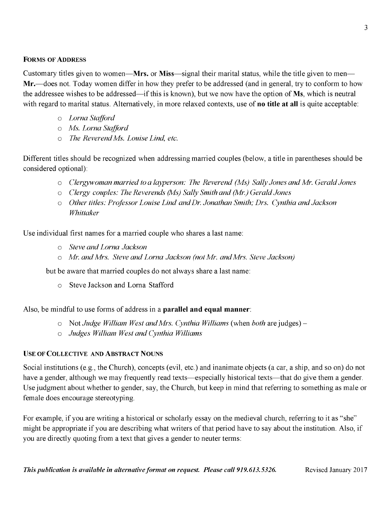### **FORMS OF ADDRESS**

Customary titles given to women—**Mrs.** or **Miss**—signal their marital status, while the title given to men— **Mr.**—does not. Today women differ in how they prefer to be addressed (and in general, try to conform to how the addressee wishes to be addressed—if this is known), but we now have the option of **Ms,** which is neutral with regard to marital status. Alternatively, in more relaxed contexts, use of **no title at all** is quite acceptable:

- o *Lorna Stafford*
- *o Ms. Lorna Stafford*
- *o The Reverend Ms. Louise Lind, etc.*

Different titles should be recognized when addressing married couples (below, a title in parentheses should be considered optional):

- o *Clergywoman married to a layperson: The Reverend (Ms) Sally Jones and Mr. Gerald Jones*
- *o Clergy couples: The Reverends (Ms) Sally Smith and (Mr.) Gerald Jones*
- *o Other titles: Professor Louise Lind and Dr. Jonathan Smith; Dr s. Cynthia and Jackson Whittaker*

Use individual first names for a married couple who shares a last name:

- o *Steve and Lorna Jackson*
- *o Mr. and Mrs. Steve and Lorna Jackson (not Mr. and Mrs. Steve Jackson)*

but be aware that married couples do not always share a last name:

o Steve Jackson and Lorna Stafford

Also, be mindful to use forms of address in a **parallel and equal manner:**

- o Not *Judge William West and Mrs. Cynthia Williams* (when *both* are judges) -
- o *Judges William West and Cynthia Williams*

#### **U se o f C o l l e c t iv e a n d A b st r a c t N o u n s**

Social institutions (e.g., the Church), concepts (evil, etc.) and inanimate objects (a car, a ship, and so on) do not have a gender, although we may frequently read texts—especially historical texts—that do give them a gender. Use judgment about whether to gender, say, the Church, but keep in mind that referring to something as male or female does encourage stereotyping.

For example, if you are writing a historical or scholarly essay on the medieval church, referring to it as "she" might be appropriate if you are describing what writers of that period have to say about the institution. Also, if you are directly quoting from a text that gives a gender to neuter terms: